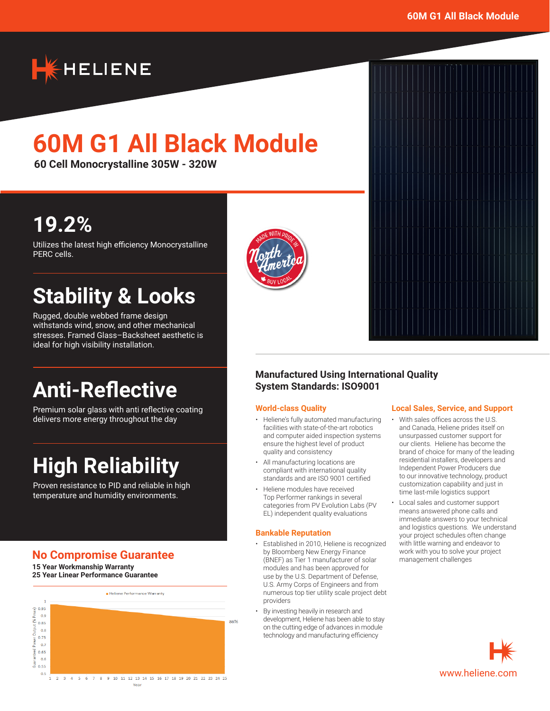

# **60M G1 All Black Module**

**60 Cell Monocrystalline 305W - 320W**

## **19.2%**

Utilizes the latest high efficiency Monocrystalline PERC cells.

## **Stability & Looks**

Rugged, double webbed frame design withstands wind, snow, and other mechanical stresses. Framed Glass–Backsheet aesthetic is ideal for high visibility installation.

## **Anti-Reflective**

Premium solar glass with anti reflective coating delivers more energy throughout the day

# **High Reliability**

Proven resistance to PID and reliable in high temperature and humidity environments.

## **No Compromise Guarantee**

**15 Year Workmanship Warranty 25 Year Linear Performance Guarantee**







### **Manufactured Using International Quality System Standards: ISO9001**

#### **World-class Quality**

- Heliene's fully automated manufacturing facilities with state-of-the-art robotics and computer aided inspection systems ensure the highest level of product quality and consistency
- All manufacturing locations are compliant with international quality standards and are ISO 9001 certified
- Heliene modules have received Top Performer rankings in several categories from PV Evolution Labs (PV EL) independent quality evaluations

#### **Bankable Reputation**

- Established in 2010, Heliene is recognized by Bloomberg New Energy Finance (BNEF) as Tier 1 manufacturer of solar modules and has been approved for use by the U.S. Department of Defense, U.S. Army Corps of Engineers and from numerous top tier utility scale project debt providers
- By investing heavily in research and development, Heliene has been able to stay on the cutting edge of advances in module technology and manufacturing efficiency

#### **Local Sales, Service, and Support**

- With sales offices across the U.S. and Canada, Heliene prides itself on unsurpassed customer support for our clients. Heliene has become the brand of choice for many of the leading residential installers, developers and Independent Power Producers due to our innovative technology, product customization capability and just in time last-mile logistics support
- Local sales and customer support means answered phone calls and immediate answers to your technical and logistics questions. We understand your project schedules often change with little warning and endeavor to work with you to solve your project management challenges